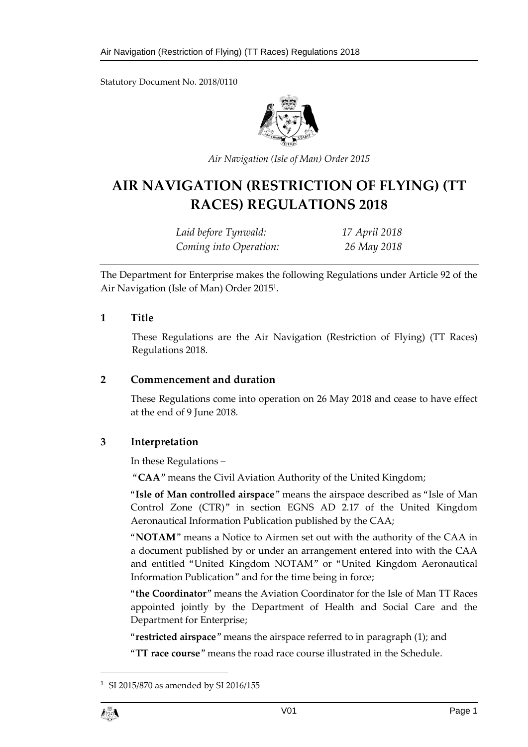Statutory Document No. 2018/0110



*Air Navigation (Isle of Man) Order 2015*

# **AIR NAVIGATION (RESTRICTION OF FLYING) (TT RACES) REGULATIONS 2018**

| Laid before Tynwald:   | 17 April 2018 |
|------------------------|---------------|
| Coming into Operation: | 26 May 2018   |

The Department for Enterprise makes the following Regulations under Article 92 of the Air Navigation (Isle of Man) Order 2015<sup>1</sup> .

#### **1 Title**

These Regulations are the Air Navigation (Restriction of Flying) (TT Races) Regulations 2018.

# **2 Commencement and duration**

These Regulations come into operation on 26 May 2018 and cease to have effect at the end of 9 June 2018.

# **3 Interpretation**

In these Regulations –

"**CAA**" means the Civil Aviation Authority of the United Kingdom;

"**Isle of Man controlled airspace**" means the airspace described as "Isle of Man Control Zone (CTR)" in section EGNS AD 2.17 of the United Kingdom Aeronautical Information Publication published by the CAA;

"**NOTAM**" means a Notice to Airmen set out with the authority of the CAA in a document published by or under an arrangement entered into with the CAA and entitled "United Kingdom NOTAM" or "United Kingdom Aeronautical Information Publication" and for the time being in force;

"**the Coordinator**" means the Aviation Coordinator for the Isle of Man TT Races appointed jointly by the Department of Health and Social Care and the Department for Enterprise;

"**restricted airspace**" means the airspace referred to in paragraph (1); and

"**TT race course**" means the road race course illustrated in the Schedule.

 $\overline{a}$ 

<sup>&</sup>lt;sup>1</sup> SI 2015/870 as amended by SI 2016/155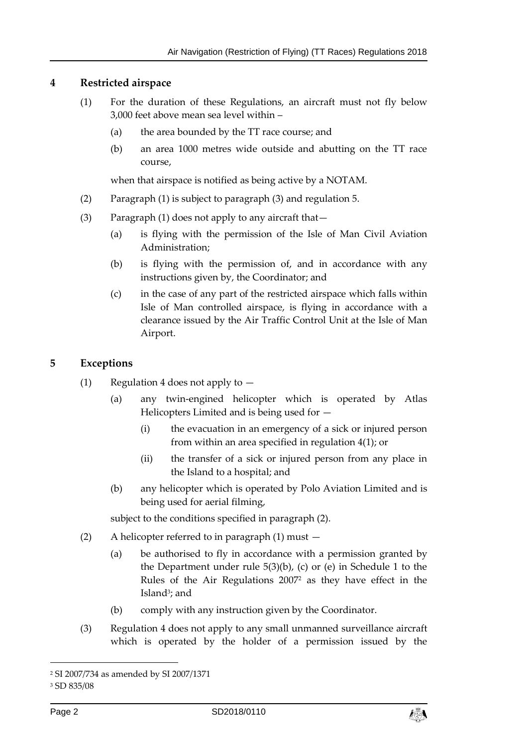#### **4 Restricted airspace**

- (1) For the duration of these Regulations, an aircraft must not fly below 3,000 feet above mean sea level within –
	- (a) the area bounded by the TT race course; and
	- (b) an area 1000 metres wide outside and abutting on the TT race course,

when that airspace is notified as being active by a NOTAM.

- (2) Paragraph (1) is subject to paragraph (3) and regulation 5.
- (3) Paragraph (1) does not apply to any aircraft that—
	- (a) is flying with the permission of the Isle of Man Civil Aviation Administration;
	- (b) is flying with the permission of, and in accordance with any instructions given by, the Coordinator; and
	- (c) in the case of any part of the restricted airspace which falls within Isle of Man controlled airspace, is flying in accordance with a clearance issued by the Air Traffic Control Unit at the Isle of Man Airport.

#### **5 Exceptions**

- (1) Regulation 4 does not apply to
	- (a) any twin-engined helicopter which is operated by Atlas Helicopters Limited and is being used for —
		- (i) the evacuation in an emergency of a sick or injured person from within an area specified in regulation 4(1); or
		- (ii) the transfer of a sick or injured person from any place in the Island to a hospital; and
	- (b) any helicopter which is operated by Polo Aviation Limited and is being used for aerial filming,

subject to the conditions specified in paragraph (2).

- (2) A helicopter referred to in paragraph (1) must
	- (a) be authorised to fly in accordance with a permission granted by the Department under rule 5(3)(b), (c) or (e) in Schedule 1 to the Rules of the Air Regulations 2007<sup>2</sup> as they have effect in the Island<sup>3</sup>; and
	- (b) comply with any instruction given by the Coordinator.
- (3) Regulation 4 does not apply to any small unmanned surveillance aircraft which is operated by the holder of a permission issued by the

-



<sup>2</sup> SI 2007/734 as amended by SI 2007/1371

<sup>3</sup> SD 835/08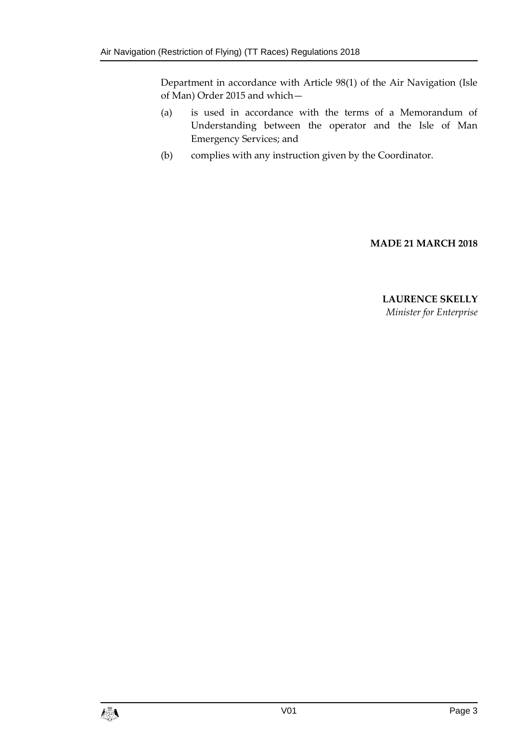Department in accordance with Article 98(1) of the Air Navigation (Isle of Man) Order 2015 and which—

- (a) is used in accordance with the terms of a Memorandum of Understanding between the operator and the Isle of Man Emergency Services; and
- (b) complies with any instruction given by the Coordinator.

# **MADE 21 MARCH 2018**

**LAURENCE SKELLY**  *Minister for Enterprise*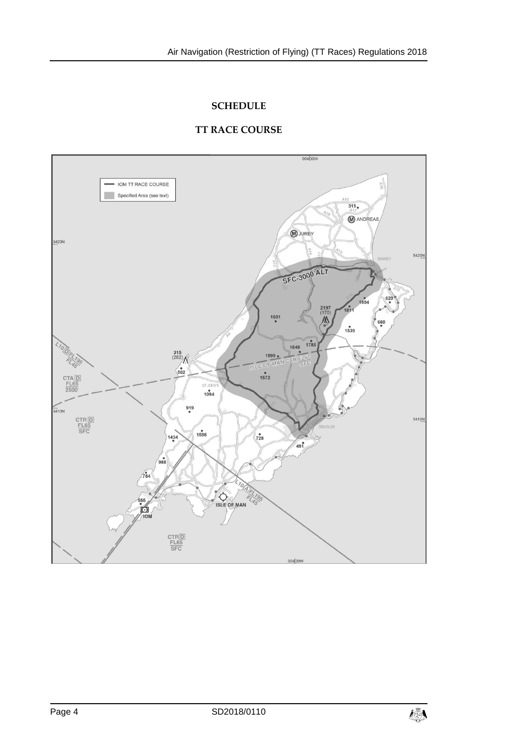# **SCHEDULE**

### **TT RACE COURSE**